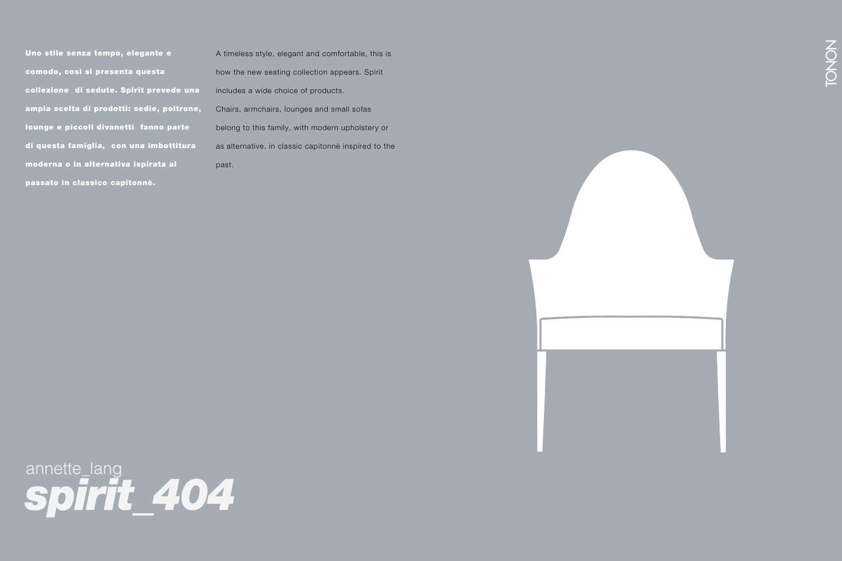Uno stile senza tempo, elegante e comodo, cosi si presenta questa alla sco collezione di sedute. Spirit prevede una ampia scelta di prodotti: sedie, poltrone, lounge e piccoli divanetti fanno parte v di questa famiglia, con una imbottitura moderna o in alternativa ispirata al passato in classico capitonnè.

A timeless style, elegant and comfortable, this is how the new seating collection appears. Spirit includes a wide choice of products. Chairs, armchairs, lounges and small sofas belong to this family, with modern upholstery or as alternative, in classic capitonnè inspired to the past. In the master of the second





## annette\_lang *spirit\_404*